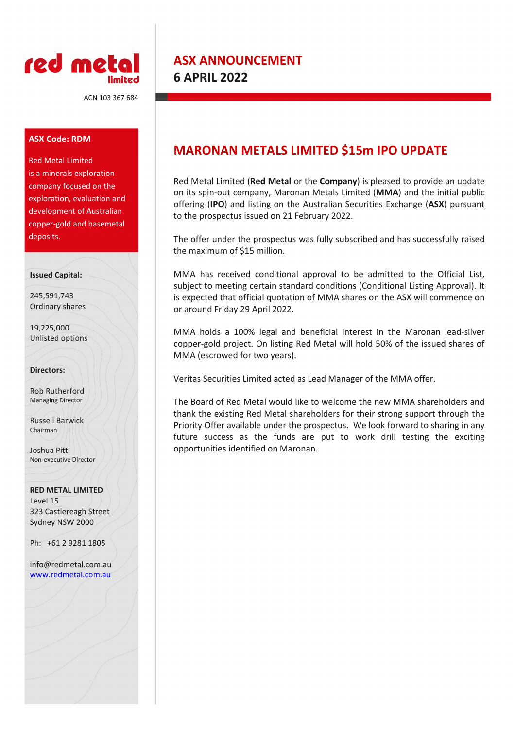

ACN 103 367 684

### **ASX Code: RDM**

Red Metal Limited is a minerals exploration company focused on the exploration, evaluation and development of Australian copper-gold and basemetal deposits.

#### **Issued Capital:**

245,591,743 Ordinary shares

19,225,000 Unlisted options

#### **Directors:**

Rob Rutherford Managing Director

Russell Barwick Chairman

Joshua Pitt Non-executive Director

**RED METAL LIMITED** Level 15 323 Castlereagh Street Sydney NSW 2000

Ph: +61 2 9281 1805

info@redmetal.com.au www.redmetal.com.au

# **ASX ANNOUNCEMENT 6 APRIL 2022**

## **MARONAN METALS LIMITED \$15m IPO UPDATE**

Red Metal Limited (**Red Metal** or the **Company**) is pleased to provide an update on its spin-out company, Maronan Metals Limited (**MMA**) and the initial public offering (**IPO**) and listing on the Australian Securities Exchange (**ASX**) pursuant to the prospectus issued on 21 February 2022.

The offer under the prospectus was fully subscribed and has successfully raised the maximum of \$15 million.

MMA has received conditional approval to be admitted to the Official List, subject to meeting certain standard conditions (Conditional Listing Approval). It is expected that official quotation of MMA shares on the ASX will commence on or around Friday 29 April 2022.

MMA holds a 100% legal and beneficial interest in the Maronan lead-silver copper-gold project. On listing Red Metal will hold 50% of the issued shares of MMA (escrowed for two years).

Veritas Securities Limited acted as Lead Manager of the MMA offer.

The Board of Red Metal would like to welcome the new MMA shareholders and thank the existing Red Metal shareholders for their strong support through the Priority Offer available under the prospectus. We look forward to sharing in any future success as the funds are put to work drill testing the exciting opportunities identified on Maronan.